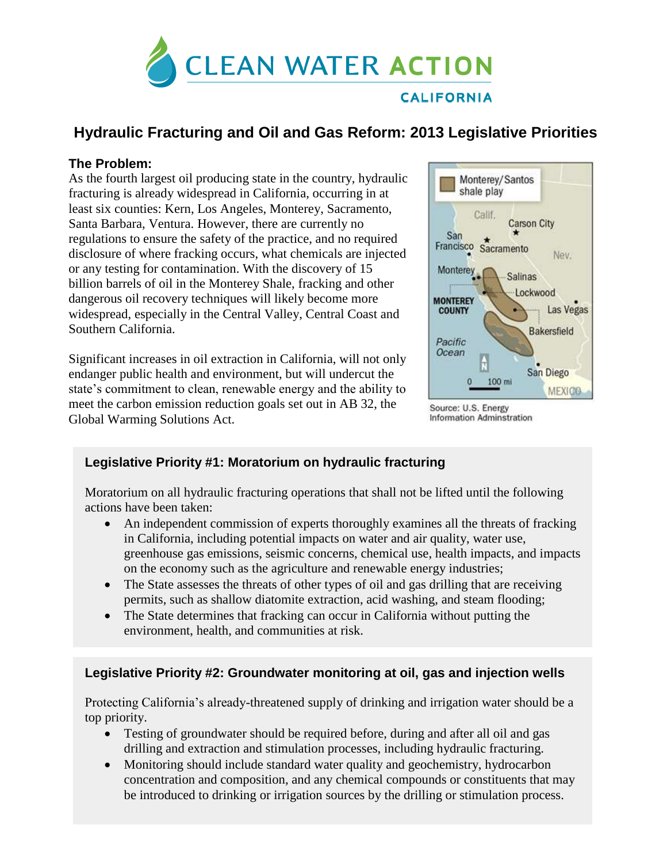

# **Hydraulic Fracturing and Oil and Gas Reform: 2013 Legislative Priorities**

### **The Problem:**

As the fourth largest oil producing state in the country, hydraulic fracturing is already widespread in California, occurring in at least six counties: Kern, Los Angeles, Monterey, Sacramento, Santa Barbara, Ventura. However, there are currently no regulations to ensure the safety of the practice, and no required disclosure of where fracking occurs, what chemicals are injected or any testing for contamination. With the discovery of 15 billion barrels of oil in the Monterey Shale, fracking and other dangerous oil recovery techniques will likely become more widespread, especially in the Central Valley, Central Coast and Southern California.

Significant increases in oil extraction in California, will not only endanger public health and environment, but will undercut the state's commitment to clean, renewable energy and the ability to meet the carbon emission reduction goals set out in AB 32, the Global Warming Solutions Act.



Source: U.S. Energy **Information Adminstration** 

## **Legislative Priority #1: Moratorium on hydraulic fracturing**

Moratorium on all hydraulic fracturing operations that shall not be lifted until the following actions have been taken:

- An independent commission of experts thoroughly examines all the threats of fracking in California, including potential impacts on water and air quality, water use, greenhouse gas emissions, seismic concerns, chemical use, health impacts, and impacts on the economy such as the agriculture and renewable energy industries;
- The State assesses the threats of other types of oil and gas drilling that are receiving permits, such as shallow diatomite extraction, acid washing, and steam flooding;
- The State determines that fracking can occur in California without putting the environment, health, and communities at risk.

### **Legislative Priority #2: Groundwater monitoring at oil, gas and injection wells**

Protecting California's already-threatened supply of drinking and irrigation water should be a top priority.

- Testing of groundwater should be required before, during and after all oil and gas drilling and extraction and stimulation processes, including hydraulic fracturing.
- Monitoring should include standard water quality and geochemistry, hydrocarbon concentration and composition, and any chemical compounds or constituents that may be introduced to drinking or irrigation sources by the drilling or stimulation process.